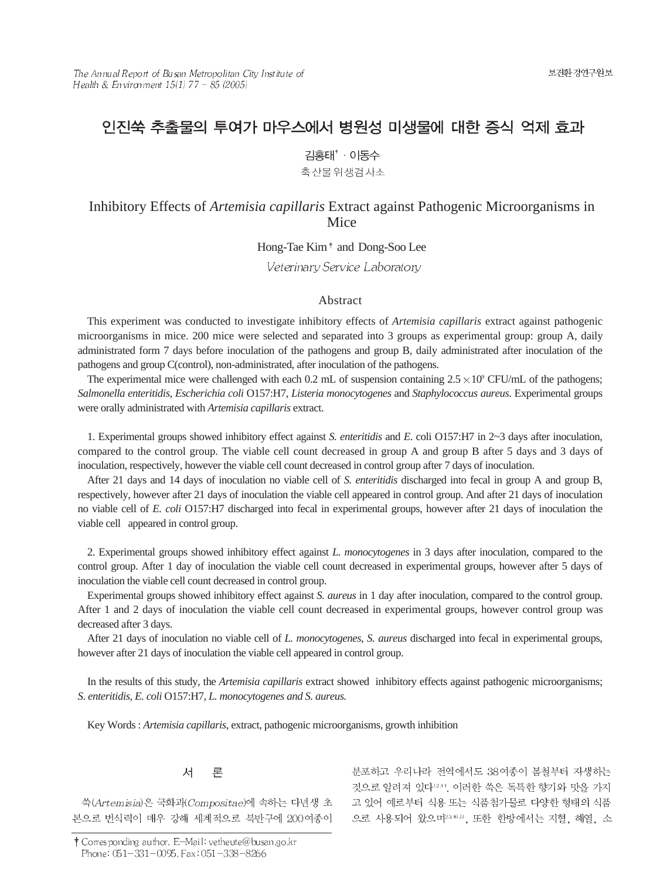# 인진쑥 추출물의 투여가 마우스에서 병원성 미생물에 대한 증식 억제 효과

김홍태<sup>\*</sup> · 이동수

축산물위생검사소

# Inhibitory Effects of *Artemisia capillaris* Extract against Pathogenic Microorganisms in Mice

Hong-Tae Kim<sup>+</sup> and Dong-Soo Lee

Veterinary Service Laboratory

# Abstract

This experiment was conducted to investigate inhibitory effects of *Artemisia capillaris* extract against pathogenic microorganisms in mice. 200 mice were selected and separated into 3 groups as experimental group: group A, daily administrated form 7 days before inoculation of the pathogens and group B, daily administrated after inoculation of the pathogens and group C(control), non-administrated, after inoculation of the pathogens.

The experimental mice were challenged with each 0.2 mL of suspension containing  $2.5 \times 10^9$  CFU/mL of the pathogens; *Salmonella enteritidis*, *Escherichia coli* O157:H7, *Listeria monocytogenes* and *Staphylococcus aureus*. Experimental groups were orally administrated with *Artemisia capillaris* extract.

1. Experimental groups showed inhibitory effect against *S. enteritidis* and *E*. coli O157:H7 in 2~3 days after inoculation, compared to the control group. The viable cell count decreased in group A and group B after 5 days and 3 days of inoculation, respectively, however the viable cell count decreased in control group after 7 days of inoculation.

After 21 days and 14 days of inoculation no viable cell of *S. enteritidis* discharged into fecal in group A and group B, respectively, however after 21 days of inoculation the viable cell appeared in control group. And after 21 days of inoculation no viable cell of *E. coli* O157:H7 discharged into fecal in experimental groups, however after 21 days of inoculation the viable cell appeared in control group.

2. Experimental groups showed inhibitory effect against *L. monocytogenes* in 3 days after inoculation, compared to the control group. After 1 day of inoculation the viable cell count decreased in experimental groups, however after 5 days of inoculation the viable cell count decreased in control group.

Experimental groups showed inhibitory effect against *S. aureus* in 1 day after inoculation, compared to the control group. After 1 and 2 days of inoculation the viable cell count decreased in experimental groups, however control group was decreased after 3 days.

After 21 days of inoculation no viable cell of *L. monocytogenes*, *S. aureus* discharged into fecal in experimental groups, however after 21 days of inoculation the viable cell appeared in control group.

In the results of this study, the *Artemisia capillaris* extract showed inhibitory effects against pathogenic microorganisms; *S*. *enteritidis, E. coli* O157:H7*, L. monocytogenes and S. aureus.* 

Key Words : *Artemisia capillaris*, extract, pathogenic microorganisms, growth inhibition

#### 人 론

쑥(Artemisia)은 국화과(Compositae)에 속하는 다년생 초 본으로 번식력이 매우 강해 세계적으로 북반구에 200여종이

† Corresponding author. E-Mail: vetheute@busan.go.kr Phone: 051-331-0095, Fax: 051-338-8266

분포하고 우리나라 전역에서도 38여종이 봄철부터 자생하는 것으로 알려져 있다12.44. 이러한 쑥은 독특한 향기와 맛을 가지 고 있어 예로부터 식용 또는 식품첨가물로 다양한 형태의 식품 으로 사용되어 왔으며 2005. 또한 한방에서는 지혈, 해열, 소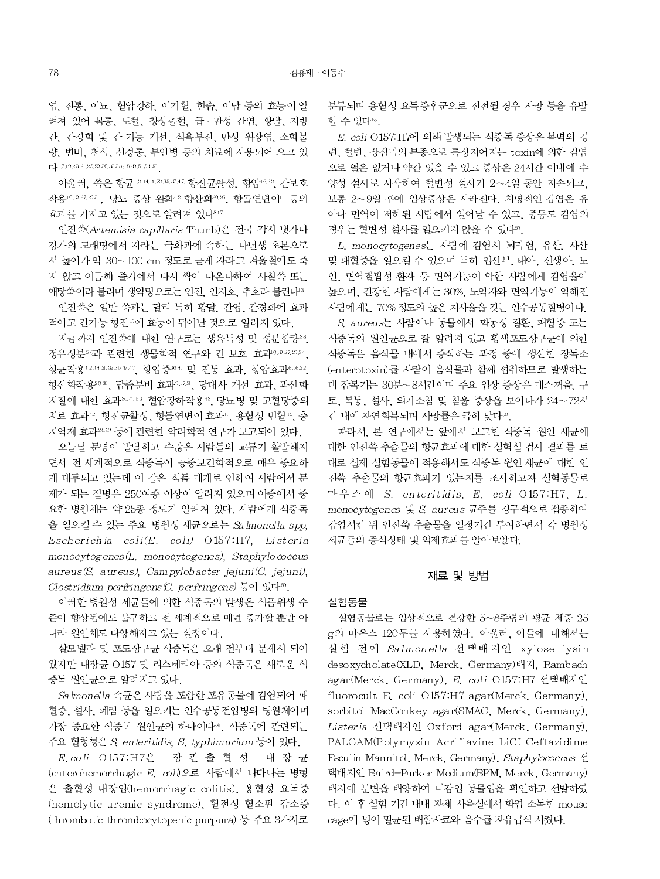염, 진통, 이뇨, 혈압강하, 이기혈, 한습, 이담 등의 효능이 알 려져 있어 복통, 토혈, 창상출혈, 급·만성 간염, 황달, 지방 간, 간경화 및 간 기능 개선, 식욕부진, 만성 위장염, 소화불 량, 변비, 천식, 신경통, 부인병 등의 치료에 사용되어 오고 있  $\text{L}^{14.7,19.23,21.25,29.30,33,38,48,49.51,54,56}.$ 

아울러, 쑥은 항균 12.14.2.235.37.47. 항진균활성, 항암 16.22, 간보호 작용10,19.27.20.34, 당뇨 증상 완화<sup>42</sup> 항산화<sup>20.35</sup>, 항돌연변이 등의 효과를 가지고 있는 것으로 알려져 있다3.12

인진쑥(Artemisia capillaris Thunb)은 전국 각지 냇가나 강가의 모래땅에서 자라는 국화과에 속하는 다년생 초본으로 서 높이가 약 30~100 cm 정도로 곧게 자라고 겨울철에도 죽 지 않고 이듬해 줄기에서 다시 싹이 나온다하여 사철쑥 또는 애탕쑥이라 불리며 생약명으로는 인진, 인지호, 추호라 불린다<sup>33</sup>

인진쑥은 일반 쑥과는 달리 특히 황달, 간염, 간경화에 효과 적이고 간기능 항진 6에 효능이 뛰어난 것으로 알려져 있다.

지금까지 인진쑥에 대한 연구로는 생육특성 및 성분함량 38. 정유성분56과 관련한 생물학적 연구와 간 보호 효과0.027.2034, 항균작용12.142.235.3747 항염증364 및 진통 효과, 항암효과6.16.22, 항산화작용2026, 담즙분비 효과9.17.3, 당대사 개선 효과, 과산화 지질에 대한 효과30.053, 혈압강하작용43, 당뇨병 및 고혈당증의 치료 효과12. 항진균활성, 항돌연변이 효과", 용혈성 빈혈45, 충 치억제 효과28.30 등에 관련한 약리학적 연구가 보고되어 있다.

오늘날 문명이 발달하고 수많은 사람들의 교류가 활발해지 면서 전 세계적으로 식중독이 공중보건학적으로 매우 중요하 게 대두되고 있는데 이 같은 식품 매개로 인하여 사람에서 문 제가 되는 질병은 250여종 이상이 알려져 있으며 이중에서 중 요한 병원체는 약 25종 정도가 알려져 있다. 사람에게 식중독 을 일으킬 수 있는 주요 병원성 세균으로는 Salmonella spp. Escherichia coli(E. coli) O157:H7, Listeria  $monocy to genes (L. monocy to genes), Staphy looccus$  $aureus(S, aureus), Campylobacter jejuni(C, jejuni).$ Clostridium perfringens  $(C.$  perfringens)  $\frac{E}{6}$ o] 있다<sup>30</sup>.

이러한 병원성 세균들에 의한 식중독의 발생은 식품위생 수 준이 향상됨에도 불구하고 전 세계적으로 매년 증가할 뿐만 아 니라 원인체도 다양해지고 있는 실정이다.

살모넬라 및 포도상구균 식중독은 오래 전부터 문제시 되어 왔지만 대장균 O157 및 리스테리아 등의 식중독은 새로운 식 중독 원인균으로 알려지고 있다.

Salmonella 속균은 사람을 포함한 포유동물에 감염되어 패 혈증, 설사, 폐렴 등을 일으키는 인수공통전염병의 병원체이며 가장 중요한 식중독 원인균의 하나이다™. 식중독에 관련되는 주요 혈청형은 S. enteritidis, S. typhimurium 등이 있다.

E.coli O157:H7은 장 관 출 혈 성 대 장 균 (enterohemorrhagic E. coli)으로 사람에서 나타나는 병형 은 출혈성 대장염(hemorrhagic colitis). 용혈성 요독증 (hemolytic uremic syndrome), 혈전성 혈소판 감소증 (thrombotic thrombocytopenic purpura) 등 주요 3가지로

분류되며 용혈성 요독증후군으로 진전될 경우 사망 등을 유발 할 수 있다"

E. coli O157: H7에 의해 발생되는 식중독 증상은 복벽의 경 련, 혈변, 장점막의 부종으로 특징지어지는 toxin에 의한 감염 으로 열은 없거나 약간 있을 수 있고 증상은 24시간 이내에 수 양성 설사로 시작하여 혈변성 설사가 2~4일 동안 지속되고. 보통 2~9일 후에 임상증상은 사라진다. 치명적인 감염은 유 아나 면역이 저하된 사람에서 일어날 수 있고, 중등도 감염의 경우는 혈변성 설사를 일으키지 않을 수 있다".

L. monocytogenes는 사람에 감염시 뇌막염, 유산, 사산 및 패혈증을 일으킬 수 있으며 특히 임산부. 태아, 신생아, 노 인, 면역결핍성 환자 등 면역기능이 약한 사람에게 감염율이 높으며, 건강한 사람에게는 30%, 노약자와 면역기능이 약해진 사람에게는 70% 정도의 높은 치사율을 갖는 인수공통질병이다.

S. aureus는 사람이나 동물에서 화농성 질환, 패혈증 또는 식중독의 원인균으로 잘 알려져 있고 황색포도상구균에 의한 식중독은 음식물 내에서 증식하는 과정 중에 생산한 장독소 (enterotoxin)를 사람이 음식물과 함께 섭취하므로 발생하는 데 잔복기는 30분~8시간이며 주요 임상 증상은 메스꺼움, 구 토, 복통, 설사, 의기소침 및 침울 증상을 보이다가 24~72시 간 내에 자연회복되며 사망률은 극히 낮다".

따라서, 본 연구에서는 앞에서 보고한 식중독 원인 세균에 대한 인진쑥 추출물의 항균효과에 대한 실험실 검사 결과를 토 대로 실제 실험동물에 적용해서도 식중독 원인 세균에 대한 인 진쑥 추출물의 항균효과가 있는지를 조사하고자 실험동물로 마우스에 S. enteritidis, E. coli O157:H7, L. monocytogenes 및 S aureus 균주를 경구적으로 접종하여 감염시킨 뒤 인진쑥 추출물을 일정기간 투여하면서 각 병원성 세균들의 증식상태 및 억제효과를 알아보았다.

# 재료 및 방법

### 실험동물

실험동물로는 임상적으로 건강한 5~8주령의 평균 체중 25 g의 마우스 120두를 사용하였다. 아울러, 이들에 대해서는 실험 전에 Salmonella 선택배지인 xylose lysin desoxycholate(XLD, Merck, Germany)배지, Rambach agar(Merck, Germany), E. coli O157:H7 선택배지인 fluorocult E. coli O157:H7 agar(Merck, Germany), sorbitol MacConkey agar(SMAC, Merck, Germany), Listeria 선택배지인 Oxford agar(Merck, Germany), PALCAM(Polymyxin Acriflavine LiCI Ceftazidime Esculin Mannitol, Merck, Germany), Staphylococcus 선 택배지인 Baird-Parker Medium(BPM, Merck, Germany) 배지에 분변을 배양하여 미감염 동물임을 확인하고 선발하였 다. 이 후 실험 기간 내내 자체 사육실에서 화염 소독한 mouse cage에 넣어 멸균된 배합사료와 음수를 자유급식 시켰다.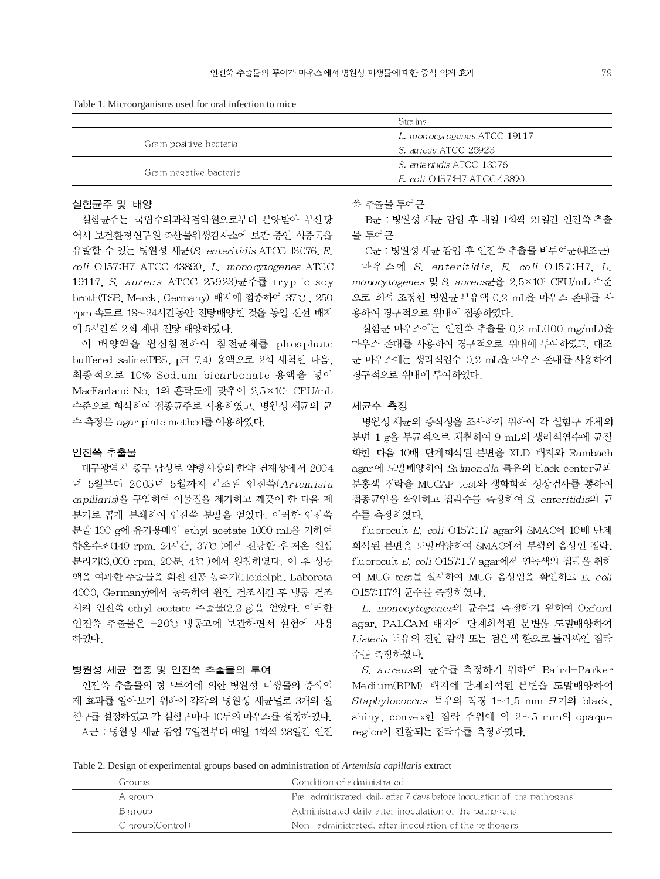| Table 1. Microorganisms used for oral infection to mice |  |  |  |
|---------------------------------------------------------|--|--|--|
|                                                         |  |  |  |

|                        | <b>Strains</b>              |  |  |
|------------------------|-----------------------------|--|--|
|                        | L. monocytogenes ATCC 19117 |  |  |
| Gram positive bacteria | S. aureus ATCC 25923        |  |  |
|                        | -S. enteritidis ATCC 13076  |  |  |
| Gram negative bacteria | E. coli O157:H7 ATCC 43890  |  |  |

# 실험균주 및 배양

실험규주는 국립수의과학검역원으로부터 부양받아 부산광 역시 보건환경연구원 축산물위생검사소에 보관 중인 식중독을 유발할 수 있는 병원성 세균(S. enteritidis ATCC 13076, E. coli O157:H7 ATCC 43890, L. monocytogenes ATCC 19117, S. aureus ATCC 25923)균주를 tryptic soy broth(TSB, Merck, Germany) 배지에 접종하여 37℃, 250 rpm 속도로 18~24시간동안 진탕배양한 것을 동일 신선 배지 에 5시간씩 2회 계대 진탕 배양하였다.

이 배양액을 원심침전하여 침전균체를 phosphate buffered saline(PBS, pH 7.4) 용액으로 2회 세척한 다음, 최종적으로 10% Sodium bicarbonate 용액을 넣어 MacFarland No. 1의 혼탁도에 맞추어 2.5×10° CFU/mL 수준으로 회석하여 접종균주로 사용하였고, 병원성 세균의 균 수 측정은 agar plate method를 이용하였다.

# 인진쑥 추출물

대구광역시 중구 남성로 약령시장의 한약 건재상에서 2004 년 5월부터 2005년 5월까지 건조된 인진쑥(Artemisia capillaris)을 구입하여 이물질을 제거하고 깨끗이 한 다음 제 분기로 곱게 분쇄하여 인진쑥 분말을 얻었다. 이러한 인진쑥 분말 100 g에 유기용매인 ethyl acetate 1000 mL을 가하여 항온수조(140 rpm, 24시간, 37°C )에서 진탕한 후 저온 원심 분리기(3,000 rpm, 20분, 4℃)에서 원침하였다. 이 후 상층 액을 여과한 추출물을 회전 진공 농축기(Heidolph, Laborota 4000. Germany)에서 농축하여 완전 건조시킨 후 냉동 건조 시켜 인진쑥 ethyl acetate 추출물(2.2 g)을 얻었다. 이러한 인진쑥 추출물은 -20℃ 냉동고에 보관하면서 실험에 사용 하였다.

### 병원성 세균 접종 및 인진쑥 추출물의 투여

인진쑥 추출물의 경구투여에 의한 병원성 미생물의 증식억 제 효과를 알아보기 위하여 각각의 병원성 세균별로 3개의 실 험구를 설정하였고 각 실험구마다 10두의 마우스를 설정하였다. A군 : 병원성 세균 감염 7일전부터 매일 1회씩 28일간 인진 쑥 추출물 투여군

B군 : 병원성 세균 감염 후 매일 1회씩 21일간 인진쑥 추출 물 투여군

C군 : 병원성 세균 감염 후 인진쑥 추출물 비투여군(대조군)

마우스에 S. enteritidis, E. coli O157:H7, L. monocytogenes 및 S. aureus균을 2.5×10° CFU/mL 수준 으로 희석 조정한 병원균 부유액 0.2 mL을 마우스 존대를 사 용하여 경구적으로 위내에 접종하였다.

실험군 마우스에는 인진쑥 추출물 0.2 mL(100 mg/mL)을 마우스 존대를 사용하여 경구적으로 위내에 투여하였고, 대조 군 마우스에는 생리식염수 0.2 mL을 마우스 존대를 사용하여 경구적으로 위내에 투여하였다.

### 세균수 측정

병원성 세균의 증식성을 조사하기 위하여 각 실험구 개체의 분변 1 g을 무균적으로 채취하여 9 mL의 생리식염수에 균질 화한 다음 10배 단계회석된 분변을 XLD 배지와 Rambach agar에 도말배양하여 Salmonella 특유의 black center균과 분홍색 집락을 MUCAP test와 생화학적 성상검사를 통하여 접종균임을 확인하고 집락수를 측정하여 S. enteritidis의 균 수를 측정하였다.

fluorocult E. coli O157: H7 agar와 SMAC에 10배 단계 희석된 분변을 도말배양하여 SMAC에서 무색의 음성인 집락, fluorocult E. coli O157 H7 agar에서 연녹색의 집락을 취하 여 MUG test를 실시하여 MUG 음성임을 확인하고 E. coli O157.H7의 균수를 측정하였다.

L. monocytogenes의 균수를 측정하기 위하여 Oxford agar, PALCAM 배지에 단계희석된 분변을 도밀배양하여 Listeria 특유의 진한 갈색 또는 검은색 환으로 둘러싸인 집락 수를 측정하였다.

S. aureus의 균수를 측정하기 위하여 Baird-Parker Medium(BPM) 배지에 단계회석된 분변을 도말배양하여 Staphylococcus 특유의 직경 1~1.5 mm 크기의 black, shiny, convex한 집락 주위에 약 2~5 mm의 opaque region이 관찰되는 집락수를 측정하였다.

Table 2. Design of experimental groups based on administration of Artemisia capillaris extract

| Groups:          | Condition of administrated                                                |
|------------------|---------------------------------------------------------------------------|
| A group          | Pre-administrated, daily after 7 days before inoculation of the pathogens |
| Baroup           | Administrated daily after inoculation of the pathogens                    |
| C group(Control) | Non-administrated, after inoculation of the pathogens                     |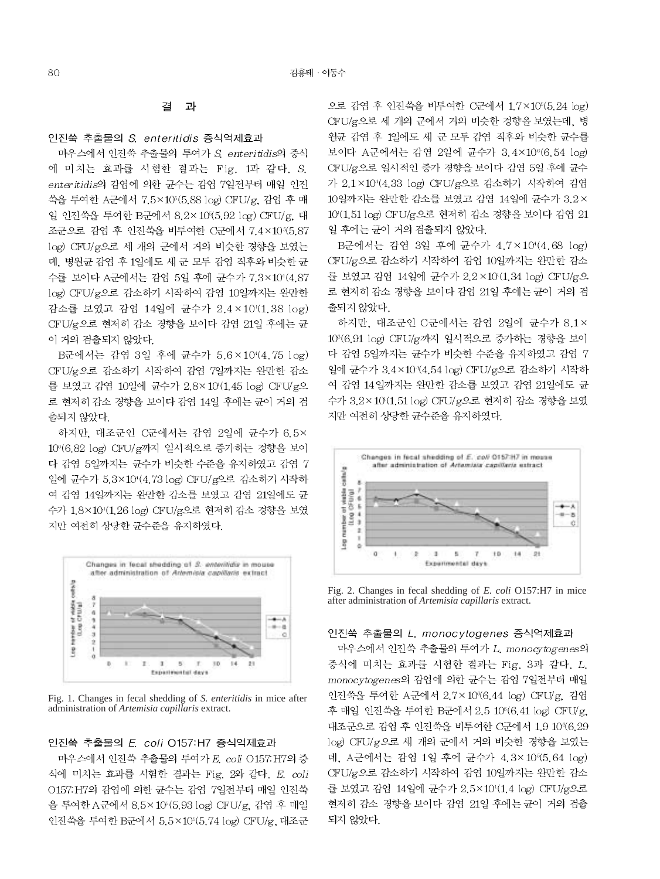#### 결 과

# 인진쑥 추출물의 S. enteritidis 증식억제효과

마우스에서 인진쑥 추출물의 투여가 S enteritidis의 증식 에 미치는 효과를 시험한 결과는 Fig. 1과 같다. S. enteritidis의 감염에 의한 균수는 감염 7일전부터 매일 인진 쑥을 투여한 A군에서 7.5×10°(5.88 log) CFU/g, 감염 후 매 일 인진쑥을 투여한 B군에서 8.2×10(5.92 log) CFU/g, 대 조군으로 감염 후 인진쑥을 비투여한 C군에서 7.4×10 (5.87 log) CFU/g으로 세 개의 군에서 거의 비슷한 경향을 보였는 데, 병원균 감염 후 1일에도 세 군 모두 감염 직후와 비슷한 균 수를 보이다 A군에서는 감염 5일 후에 균수가 7.3×104(.87 log) CFU/g으로 감소하기 시작하여 감염 10일까지는 완만한 감소를 보였고 감염 14일에 균수가 2.4×10'(1.38 log) CFU/g으로 현저히 감소 경향을 보이다 감염 21일 후에는 균 이 거의 검출되지 않았다.

B군에서는 감염 3일 후에 균수가 5.6×104(.75 log) CFU/g으로 감소하기 시작하여 감염 7일까지는 완만한 감소 를 보였고 감염 10일에 균수가 2.8×10(1.45 log) CFU/g으 로 현저히 감소 경향을 보이다 감염 14일 후에는 균이 거의 검 출되지 않았다.

하지만, 대조군인 C군에서는 감염 2일에 균수가 6.5× 10°(6.82 log) CFU/g까지 일시적으로 증가하는 경향을 보이 다 감염 5일까지는 균수가 비슷한 수준을 유지하였고 감염 7 일에 균수가 5.3×10'(4.73 log) CFU/g으로 감소하기 시작하 여 감염 14일까지는 완만한 감소를 보였고 감염 21일에도 균 수가 1.8×10 (1.26 log) CFU/g으로 현저히 감소 경향을 보였 지만 여전히 상당한 균수준을 유지하였다.



Fig. 1. Changes in fecal shedding of S. enteritidis in mice after administration of Artemisia capillaris extract.

# 인진쑥 추출물의 E. coli O157:H7 증식억제효과

마우스에서 인진쑥 추출물의 투여가 E. coli O157 H7의 증 식에 미치는 효과를 시험한 결과는 Fig. 2와 같다. E. coli O157: H7의 감염에 의한 균수는 감염 7일전부터 매일 인진쑥 을 투여한 A군에서 8.5×10 (5.93 log) CFU/g, 감염 후 매일 인진쑥을 투여한 B군에서 5.5×10°(5.74 log) CFU/g, 대조군

으로 감염 후 인진쑥을 비투여한 C군에서 1.7×105(5.24 log) CFU/g으로 세 개의 군에서 거의 비슷한 경향을 보였는데, 병 원균 감염 후 1일에도 세 군 모두 감염 직후와 비슷한 균수를 보이다 A군에서는 감염 2일에 균수가 3.4×10<sup>6</sup>(6.54 log) CFU/g으로 일시적인 증가 경향을 보이다 감염 5일 후에 균수 가 2.1×10'(4.33 log) CFU/g으로 감소하기 시작하여 감염 10일까지는 완만한 감소를 보였고 감염 14일에 균수가 3.2× 10 (1.51 log) CFU/g으로 현저히 감소 경향을 보이다 감염 21 일 후에는 균이 거의 검출되지 않았다.

B군에서는 감염 3일 후에 균수가 4.7×104.68 log) CFU/g으로 감소하기 시작하여 감염 10일까지는 완만한 감소 를 보였고 감염 14일에 균수가 2.2×10(1.34 log) CFU/g으 로 현저히 감소 경향을 보이다 감염 21일 후에는 균이 거의 검 출되지 않았다.

하지만, 대조군인 C군에서는 감염 2일에 균수가 8.1× 10°(6.91 log) CFU/g까지 일시적으로 증가하는 경향을 보이 다 감염 5일까지는 균수가 비슷한 수준을 유지하였고 감염 7 일에 균수가 3.4×10\*(4.54 log) CFU/g으로 감소하기 시작하 여 감염 14일까지는 완만한 감소를 보였고 감염 21일에도 균 수가 3.2×10(1.51 log) CFU/g으로 현저히 감소 경향을 보였 지만 여전히 상당한 균수준을 유지하였다.



Fig. 2. Changes in fecal shedding of E. coli O157:H7 in mice after administration of Artemisia capillaris extract.

# 인진쑥 추출물의 L. monocytogenes 증식억제효과

마우스에서 인진쑥 추출물의 투여가 L. monocytogenes의 증식에 미치는 효과를 시험한 결과는 Fig. 3과 같다. L. monocytogenes의 감염에 의한 균수는 감염 7일전부터 매일 인진쑥을 투여한 A군에서 2.7×10℃6.44 log) CFU/g, 감염 후 매일 인진쑥을 투여한 B군에서 2.5 10°(6.41 log) CFU/g, 대조군으로 감염 후 인진쑥을 비투여한 C군에서 1.9 10%6.29 log) CFU/g으로 세 개의 군에서 거의 비슷한 경향을 보였는 데, A군에서는 감염 1일 후에 균수가 4.3×10 < 5.64 log) CFU/g으로 감소하기 시작하여 감염 10일까지는 완만한 감소 를 보였고 감염 14일에 균수가 2.5×10'(1.4 log) CFU/g으로 현저히 감소 경향을 보이다 감염 21일 후에는 균이 거의 검출 되지 않았다.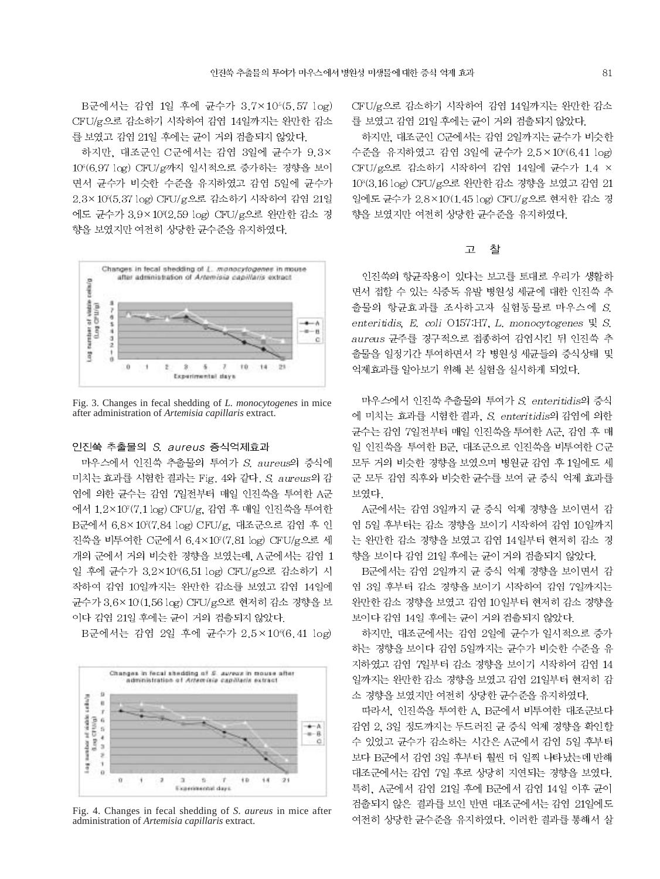B군에서는 감염 1일 후에 균수가 3.7×105(5.57 log) CFU/g으로 감소하기 시작하여 감염 14일까지는 완만한 감소 를 보였고 감염 21일 후에는 균이 거의 검출되지 않았다.

하지만, 대조군인 C군에서는 감염 3일에 균수가 9.3× 10°(6.97 log) CFU/g까지 일시적으로 증가하는 경향을 보이 면서 균수가 비슷한 수준을 유지하였고 감염 5일에 균수가 2.3×10(5.37 log) CFU/g으로 감소하기 시작하여 감염 21일 에도 균수가 3.9×10℃2.59 log) CFU/g으로 완만한 감소 경 향을 보였지만 여전히 상당한 균수준을 유지하였다.



Fig. 3. Changes in fecal shedding of L. monocytogenes in mice after administration of Artemisia capillaris extract.

### 인진쑥 추출물의 S. aureus 증식억제효과

마우스에서 인진쑥 추출물의 투여가 S. aureus의 증식에 미치는 효과를 시험한 결과는 Fig. 4와 같다. S. aureus의 감 염에 의한 균수는 감염 7일전부터 매일 인진쑥을 투여한 A군 에서 1.2×107(7.1 log) CFU/g. 감염 후 매일 인진쑥을 투여한 B군에서 6.8×107(7.84 log) CFU/g, 대조군으로 감염 후 인 진쑥을 비투여한 C군에서 6.4×107(7.81 log) CFU/g으로 세 개의 군에서 거의 비슷한 경향을 보였는데, A군에서는 감염 1 일 후에 균수가 3.2×10 (6.51 log) CFU/g으로 감소하기 시 작하여 감염 10일까지는 완만한 감소를 보였고 감염 14일에 균수가 3.6×10(1.56 log) CFU/g으로 현저히 감소 경향을 보 이다 감염 21일 후에는 균이 거의 검출되지 않았다.

B군에서는 감염 2일 후에 균수가 2.5×10%6.41 log)



Fig. 4. Changes in fecal shedding of S. aureus in mice after administration of Artemisia capillaris extract.

CFU/g으로 감소하기 시작하여 감염 14일까지는 완만한 감소 를 보였고 감염 21일 후에는 균이 거의 검출되지 않았다.

하지만, 대조군인 C군에서는 감염 2일까지는 균수가 비슷한 수준을 유지하였고 감염 3일에 균수가 2.5×106(6.41 log) CFU/g으로 감소하기 시작하여 감염 14일에 균수가 1.4 × 10°(3.16 log) CFU/g으로 완만한 감소 경향을 보였고 감염 21 일에도 균수가 2.8×10(1.45 log) CFU/g으로 현저한 감소 경 향을 보였지만 여전히 상당한 균수준을 유지하였다.

#### $\overline{\mathbb{L}}$ 찰

인진쑥의 항균작용이 있다는 보고를 토대로 우리가 생활하 면서 접할 수 있는 식중독 유발 병원성 세균에 대한 인진쑥 추 출물의 항균효과를 조사하고자 실험동물로 마우스에 S. enteritidis, E. coli O157.H7, L. monocytogenes  $\mathbb{R}$  S. aureus 균주를 경구적으로 접종하여 감염시킨 뒤 인진쑥 추 출물을 일정기간 투여하면서 각 병원성 세균들의 증식상태 및 억제효과를 알아보기 위해 본 실험을 실시하게 되었다.

마우스에서 인진쑥 추출물의 투여가 S enteritidis의 증식 에 미치는 효과를 시험한 결과, S. enteritidis의 감염에 의한 균수는 감염 7일전부터 매일 인진쑥을 투여한 A군, 감염 후 매 일 인진쑥을 투여한 B군, 대조군으로 인진쑥을 비투여한 C군 모두 거의 비슷한 경향을 보였으며 병원균 감염 후 1일에도 세 군 모두 감염 직후와 비슷한 균수를 보여 균 증식 억제 효과를 보였다.

A군에서는 감염 3일까지 균 증식 억제 경향을 보이면서 감 염 5일 후부터는 감소 경향을 보이기 시작하여 감염 10일까지 는 완만한 감소 경향을 보였고 감염 14일부터 현저히 감소 경 향을 보이다 감염 21일 후에는 균이 거의 검출되지 않았다.

B군에서는 감염 2일까지 균 증식 억제 경향을 보이면서 감 염 3일 후부터 감소 경향을 보이기 시작하여 감염 7일까지는 완만한 감소 경향을 보였고 감염 10일부터 현저히 감소 경향을 보이다 감염 14일 후에는 균이 거의 검출되지 않았다.

하지만, 대조군에서는 감염 2일에 균수가 일시적으로 증가 하는 경향을 보이다 감염 5일까지는 균수가 비슷한 수준을 유 지하였고 감염 7일부터 감소 경향을 보이기 시작하여 감염 14 일까지는 완만한 감소 경향을 보였고 감염 21일부터 현저히 감 소 경향을 보였지만 여전히 상당한 균수준을 유지하였다.

따라서, 인진쑥을 투여한 A, B군에서 비투여한 대조군보다 감염 2, 3일 정도까지는 두드러진 균 증식 억제 경향을 확인할 수 있었고 균수가 감소하는 시간은 A군에서 감염 5일 후부터 보다 B군에서 감염 3일 후부터 훨씬 더 일찍 나타났는데 반해 대조군에서는 감염 7일 후로 상당히 지연되는 경향을 보였다. 특히, A군에서 감염 21일 후에 B군에서 감염 14일 이후 균이 검출되지 않은 결과를 보인 반면 대조군에서는 감염 21일에도 여전히 상당한 균수준을 유지하였다. 이러한 결과를 통해서 살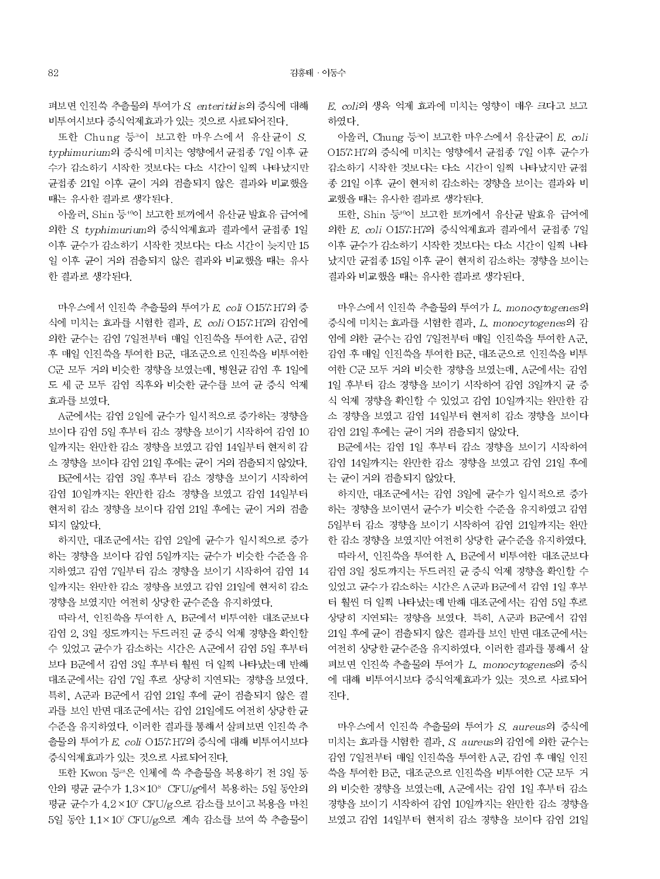펴보면 인진쑥 추출물의 투여가 S. enteritidis의 증식에 대해 비투여시보다 증식억제효과가 있는 것으로 사료되어진다.

또한 Chung 등3이 보고한 마우스에서 유산균이 S. tvphimurium의 증식에 미치는 영향에서 균접종 7일 이후 균 수가 감소하기 시작한 것보다는 다소 시간이 일찍 나타났지만 균접종 21일 이후 균이 거의 검출되지 않은 결과와 비교했을 때는 유사한 결과로 생각된다.

아울러, Shin 등40이 보고한 토끼에서 유산균 발효유 급여에 의한 S. typhimurium의 증식억제효과 결과에서 균접종 1일 이후 균수가 감소하기 시작한 것보다는 다소 시간이 늦지만 15 일 이후 균이 거의 검출되지 않은 결과와 비교했을 때는 유사 한 결과로 생각된다.

마우스에서 인진쑥 추출물의 투여가 E. coli O157: H7의 증 식에 미치는 효과를 시험한 결과, E, coli O157: H7의 감염에 의한 균수는 감염 7일전부터 매일 인진쑥을 투여한 A군, 감염 후 매일 인진쑥을 투여한 B군, 대조군으로 인진쑥을 비투여한 C군 모두 거의 비슷한 경향을 보였는데, 병원균 감염 후 1일에 도 세 군 모두 감염 직후와 비슷한 균수를 보여 균 증식 억제 효과를 보였다.

A군에서는 감염 2일에 균수가 일시적으로 증가하는 경향을 보이다 감염 5일 후부터 감소 경향을 보이기 시작하여 감염 10 일까지는 완만한 감소 경향을 보였고 감염 14일부터 현저히 감 소 경향을 보이다 감염 21일 후에는 균이 거의 검출되지 않았다.

B군에서는 감염 3일 후부터 감소 경향을 보이기 시작하여 감염 10일까지는 완만한 감소 경향을 보였고 감염 14일부터 현저히 감소 경향을 보이다 감염 21일 후에는 균이 거의 검출 되지 않았다.

하지만, 대조군에서는 감염 2일에 균수가 일시적으로 증가 하는 경향을 보이다 감염 5일까지는 균수가 비슷한 수준을 유 지하였고 감염 7일부터 감소 경향을 보이기 시작하여 감염 14 일까지는 완만한 감소 경향을 보였고 감염 21일에 현저히 감소 경향을 보였지만 여전히 상당한 균수준을 유지하였다.

따라서, 인진쑥을 투여한 A, B군에서 비투여한 대조군보다 감염 2, 3일 정도까지는 두드러진 균 증식 억제 경향을 확인할 수 있었고 균수가 감소하는 시간은 A군에서 감염 5일 후부터 보다 B군에서 감염 3일 후부터 훨씬 더 일찍 나타났는데 반해 대조군에서는 감염 7일 후로 상당히 지연되는 경향을 보였다. 특히, A군과 B군에서 감염 21일 후에 균이 검출되지 않은 결 과를 보인 반면 대조군에서는 감염 21일에도 여전히 상당한 균 수준을 유지하였다. 이러한 결과를 통해서 살펴보면 인진쑥 추 출물의 투여가 E. coli O157 H7의 증식에 대해 비투여시보다 증식억제효과가 있는 것으로 사료되어진다.

또한 Kwon 등 8은 인체에 쑥 추출물을 복용하기 전 3일 동 안의 평균 균수가 1.3×10° CFU/g에서 복용하는 5일 동안의 평균 균수가 4.2×10 CFU/g으로 감소를 보이고 복용을 마친 5일 동안 1.1×107 CFU/g으로 계속 감소를 보여 쑥 추출물이 E. coli의 생육 억제 효과에 미치는 영향이 매우 크다고 보고 하였다.

아울러, Chung 등 이 보고한 마우스에서 유산균이 E. coli O157.H7의 증식에 미치는 영향에서 균접종 7일 이후 균수가 감소하기 시작한 것보다는 다소 시간이 일찍 나타났지만 균접 종 21일 이후 균이 현저히 감소하는 경향을 보이는 결과와 비 교했을 때는 유사한 결과로 생각된다.

또한, Shin 등"이 보고한 토끼에서 유산균 발효유 급여에 의한 E. coli O157. H7의 증식억제효과 결과에서 균접종 7일 이후 균수가 감소하기 시작한 것보다는 다소 시간이 일찍 나타 났지만 균접종 15일 이후 균이 현저히 감소하는 경향을 보이는 결과와 비교했을 때는 유사한 결과로 생각된다.

마우스에서 인진쑥 추출물의 투여가 L. monocytogenes의 증식에 미치는 효과를 시험한 결과, L. monocytogenes의 감 염에 의한 균수는 감염 7일전부터 매일 인진쑥을 투여한 A군, 감염 후 매일 인진쑥을 투여한 B군, 대조군으로 인진쑥을 비투 여한 C군 모두 거의 비슷한 경향을 보였는데, A군에서는 감염 1일 후부터 감소 경향을 보이기 시작하여 감염 3일까지 균 증 식 억제 경향을 확인할 수 있었고 감염 10일까지는 완만한 감 소 경향을 보였고 감염 14일부터 현저히 감소 경향을 보이다 감염 21일 후에는 균이 거의 검출되지 않았다.

B군에서는 감염 1일 후부터 감소 경향을 보이기 시작하여 감염 14일까지는 완만한 감소 경향을 보였고 감염 21일 후에 는 균이 거의 검출되지 않았다.

하지만, 대조군에서는 감염 3일에 균수가 일시적으로 증가 하는 경향을 보이면서 균수가 비슷한 수준을 유지하였고 감염 5일부터 감소 경향을 보이기 시작하여 감염 21일까지는 완만 한 감소 경향을 보였지만 여전히 상당한 균수준을 유지하였다. 따라서, 인진쑥을 투여한 A, B군에서 비투여한 대조군보다 감염 3일 정도까지는 두드러진 균 증식 억제 경향을 확인할 수 있었고 균수가 감소하는 시간은 A군과 B군에서 감염 1일 후부 터 훨씬 더 일찍 나타났는데 반해 대조군에서는 감염 5일 후로 상당히 지연되는 경향을 보였다. 특히, A군과 B군에서 감염 21일 후에 균이 검출되지 않은 결과를 보인 반면 대조군에서는 여전히 상당한 균수준을 유지하였다. 이러한 결과를 통해서 살 펴보면 인진쑥 추출물의 투여가 L. monocytogenes의 증식 에 대해 비투여시보다 증식억제효과가 있는 것으로 사료되어 진다.

마우스에서 인진쑥 추출물의 투여가 S. aureus의 증식에 미치는 효과를 시험한 결과, S aureus의 감염에 의한 균수는 감염 7일전부터 매일 인진쑥을 투여한 A군, 감염 후 매일 인진 쑥을 투여한 B군, 대조군으로 인진쑥을 비투여한 C군 모두 거 의 비슷한 경향을 보였는데, A군에서는 감염 1일 후부터 감소 경향을 보이기 시작하여 감염 10일까지는 완만한 감소 경향을 보였고 감염 14일부터 현저히 감소 경향을 보이다 감염 21일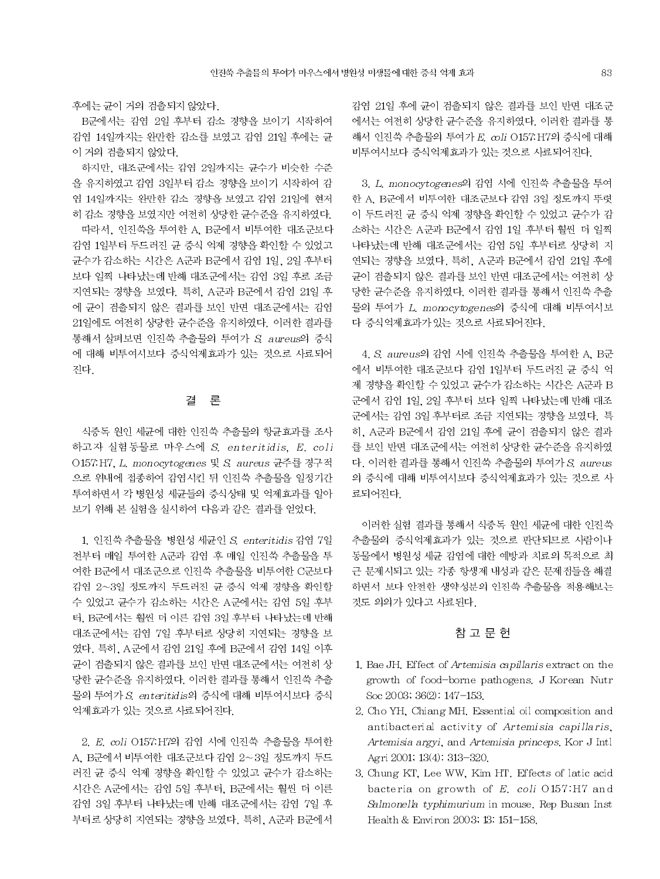후에는 균이 거의 검출되지 않았다.

B군에서는 감염 2일 후부터 감소 경향을 보이기 시작하여 감염 14일까지는 완만한 감소를 보였고 감염 21일 후에는 균 이 거의 검출되지 않았다.

하지만, 대조군에서는 감염 2일까지는 균수가 비슷한 수준 을 유지하였고 감염 3일부터 감소 경향을 보이기 시작하여 감 염 14일까지는 완만한 감소 경향을 보였고 감염 21일에 현저 히 감소 경향을 보였지만 여전히 상당한 균수준을 유지하였다. 따라서, 인진쑥을 투여한 A, B군에서 비투여한 대조군보다 감염 1일부터 두드러진 균 증식 억제 경향을 확인할 수 있었고 균수가 감소하는 시간은 A군과 B군에서 감염 1일, 2일 후부터 보다 일찍 나타났는데 반해 대조군에서는 감염 3일 후로 조금 지연되는 경향을 보였다. 특히, A군과 B군에서 감염 21일 후 에 균이 검출되지 않은 결과를 보인 반면 대조군에서는 감염 21일에도 여전히 상당한 균수준을 유지하였다. 이러한 결과를 통해서 살펴보면 인진쑥 추출물의 투여가 S. aureus의 증식 에 대해 비투여시보다 증식억제효과가 있는 것으로 사료되어 진다

# 결론

식중독 원인 세균에 대한 인진쑥 추출물의 항균효과를 조사 하고자 실험동물로 마우스에 S. enteritidis, E. coli O157:H7, L. monocytogenes 및 S. aureus 균주를 경구적 으로 위내에 접종하여 감염시킨 뒤 인진쑥 추출물을 일정기간 투여하면서 각 병원성 세균들의 증식상태 및 억제효과를 알아 보기 위해 본 실험을 실시하여 다음과 같은 결과를 얻었다.

1. 인진쑥 추출물을 병원성 세균인 S. enteritidis 감염 7일 전부터 매일 투여한 A군과 감염 후 매일 인진쑥 추출물을 투 여한 B군에서 대조군으로 인진쑥 추출물을 비투여한 C군보다 감염 2~3일 정도까지 두드러진 균 증식 억제 경향을 확인할 수 있었고 균수가 감소하는 시간은 A군에서는 감염 5일 후부 터, B군에서는 훨씬 더 이른 감염 3일 후부터 나타났는데 반해 대조군에서는 감염 7일 후부터로 상당히 지연되는 경향을 보 였다. 특히, A군에서 감염 21일 후에 B군에서 감염 14일 이후 균이 검출되지 않은 결과를 보인 반면 대조군에서는 여전히 상 당한 균수준을 유지하였다. 이러한 결과를 통해서 인진쑥 추출 물의 투여가 S enteritidis의 증식에 대해 비투여시보다 증식 억제효과가 있는 것으로 사료되어진다.

2. E. coli O157. H7의 감염 시에 인진쑥 추출물을 투여한 A. B군에서 비투여한 대조군보다 감염 2~3일 정도까지 두드 러진 균 증식 억제 경향을 확인할 수 있었고 균수가 감소하는 시간은 A군에서는 감염 5일 후부터, B군에서는 훨씬 더 이른 감염 3일 후부터 나타났는데 반해 대조군에서는 감염 7일 후 부터로 상당히 지연되는 경향을 보였다. 특히, A군과 B군에서 감염 21일 후에 균이 검출되지 않은 결과를 보인 반면 대조군 에서는 여전히 상당한 균수준을 유지하였다. 이러한 결과를 통 해서 인진쑥 추출물의 투여가 E. coli O157.H7의 증식에 대해 비투여시보다 증식억제효과가 있는 것으로 사료되어진다.

3. L. monocytogenes의 감염 시에 인진쑥 추출물을 투여 한 A, B군에서 비투여한 대조군보다 감염 3일 정도까지 뚜렷 이 두드러진 균 증식 억제 경향을 확인할 수 있었고 균수가 감 소하는 시간은 A군과 B군에서 감염 1일 후부터 훨씬 더 일찍 나타났는데 반해 대조군에서는 감염 5일 후부터로 상당히 지 연되는 경향을 보였다. 특히, A군과 B군에서 감염 21일 후에 균이 검출되지 않은 결과를 보인 반면 대조군에서는 여전히 상 당한 균수준을 유지하였다. 이러한 결과를 통해서 인진쑥 추출 물의 투여가 L. monocytogenes의 증식에 대해 비투여시보 다 증식억제효과가 있는 것으로 사료되어진다.

4. S. aureus의 감염 시에 인진쑥 추출물을 투여한 A. B군 에서 비투여한 대조군보다 감염 1일부터 두드러진 균 증식 억 제 경향을 확인할 수 있었고 균수가 감소하는 시간은 A군과 B 군에서 감염 1일, 2일 후부터 보다 일찍 나타났는데 반해 대조 군에서는 감염 3일 후부터로 조금 지연되는 경향을 보였다. 특 히, A군과 B군에서 감염 21일 후에 균이 검출되지 않은 결과 를 보인 반면 대조군에서는 여전히 상당한 균수준을 유지하였 다. 이러한 결과를 통해서 인진쑥 추출물의 투여가 S. aureus 의 증식에 대해 비투여시보다 증식억제효과가 있는 것으로 사 료되어진다.

이러한 실험 결과를 통해서 식중독 원인 세균에 대한 인진쑥 추출물의 증식억제효과가 있는 것으로 판단되므로 사람이나 동물에서 병원성 세균 감염에 대한 예방과 치료의 목적으로 최 근 문제시되고 있는 각종 항생제 내성과 같은 문제점들을 해결 하면서 보다 안전한 생약성분의 인진쑥 추출물을 적용해보는 것도 의의가 있다고 사료된다.

### 참 고 문 헌

- 1. Bae JH. Effect of Artemisia capillaris extract on the growth of food-borne pathogens. J Korean Nutr Soc 2003; 36(2): 147-153.
- 2. Cho YH, Chiang MH. Essential oil composition and antibacterial activity of Artemisia capillaris, Artemisia argyi, and Artemisia princeps. Kor J Intl Agri 2001, 13(4). 313-320.
- 3. Chung KT, Lee WW, Kim HT, Effects of latic acid bacteria on growth of  $E$ . coli O157:H7 and Salmonella typhimurium in mouse. Rep Busan Inst Health & Environ 2003; 13: 151-158.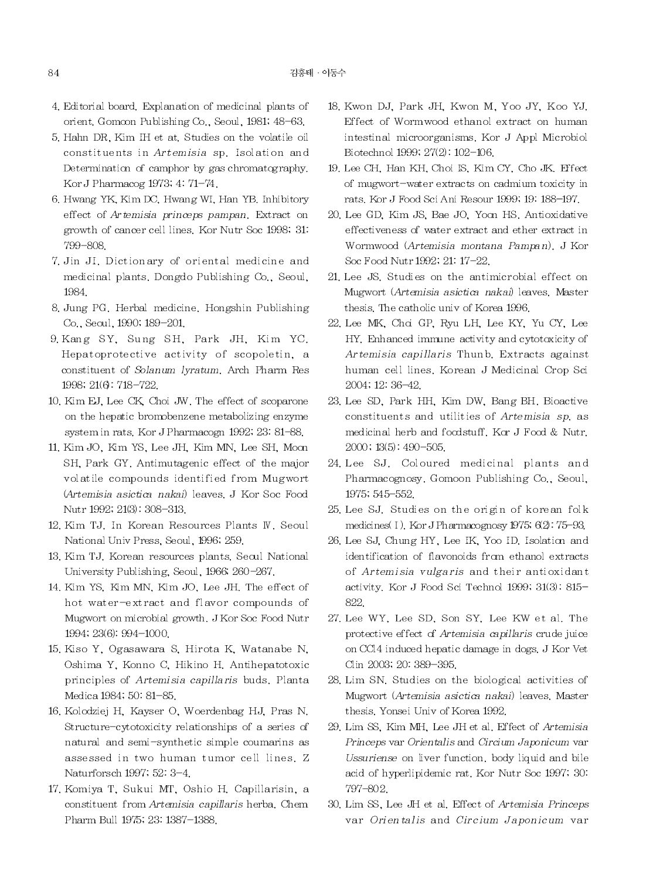- 4. Editorial board, Explanation of medicinal plants of orient. Gomcon Publishing Co., Seoul, 1981; 48-63.
- 5. Hahn DR, Kim IH et at. Studies on the volatile oil constituents in Artemisia sp. Isolation and Determination of camphor by gas chromatography. Kor J Pharmacog 1973, 4.71-74.
- 6. Hwang YK, Kim DC, Hwang WI, Han YB, Inhibitory effect of Artemisia princeps pampan. Extract on growth of cancer cell lines. Kor Nutr Soc 1998; 31: 799-808.
- 7. Jin JI. Dictionary of oriental medicine and medicinal plants. Dongdo Publishing Co., Seoul, 1984.
- 8. Jung PG. Herbal medicine. Hongshin Publishing Co., Secul, 1990, 189-201.
- 9. Kang SY, Sung SH, Park JH, Kim YC, Hepatoprotective activity of scopoletin, a constituent of Solanum lyratum. Arch Pharm Res 1998, 21(6): 718-722.
- 10. Kim EJ, Lee CK, Choi JW. The effect of scoparone on the hepatic bromobenzene metabolizing enzyme system in rats. Kor J Pharmacogn 1992, 23, 81-88.
- 11. Kim JO, Kim YS, Lee JH, Kim MN, Lee SH, Moon SH, Park GY. Antimutagenic effect of the major volatile compounds identified from Mugwort (Artemisia asictica nakai) leaves. J Kor Soc Food Nutr 1992; 21(3): 308-313.
- 12. Kim TJ. In Korean Resources Plants W. Seoul National Univ Press, Seoul, 1996; 259.
- 13. Kim TJ. Korean resources plants. Seoul National University Publishing, Seoul, 1966, 260-267.
- 14. Kim YS, Kim MN, Kim JO, Lee JH. The effect of hot water-extract and flavor compounds of Mugwort on microbial growth. J Kor Soc Food Nutr 1994; 23(6): 994-1000.
- 15. Kiso Y, Ogasawara S, Hirota K, Watanabe N, Oshima Y, Konno C, Hikino H, Antihepatotoxic principles of Artemisia capillaris buds. Planta Medica 1984; 50: 81-85.
- 16. Kolodziej H, Kayser O, Woerdenbag HJ, Pras N. Structure-cytotoxicity relationships of a series of natural and semi-synthetic simple coumarins as assessed in two human tumor cell lines. Z Naturforsch 1997; 52: 3-4.
- 17. Komiya T, Sukui MT, Oshio H. Capillarisin, a constituent from Artemisia capillaris herba. Chem Pharm Bull 1975; 23: 1387-1388.
- 18. Kwon DJ, Park JH, Kwon M, Yoo JY, Koo YJ, Effect of Wormwood ethanol extract on human intestinal microorganisms. Kor J Appl Microbiol Biotechnol 1999, 27(2): 102-106.
- 19. Lee CH, Han KH, Choi IS, Kim CY, Cho JK, Effect of mugwort-water extracts on cadmium toxicity in rats. Kor J Food Sci Ani Resour 1999, 19. 188-197.
- 20. Lee GD, Kim JS, Bae JO, Yoon HS, Antioxidative effectiveness of water extract and ether extract in Wormwood (Artemisia montana Pampan). J Kor Soc Food Nutr 1992; 21: 17-22.
- 21. Lee JS. Studies on the antimicrobial effect on Mugwort (Artemisia asictica nakai) leaves. Master thesis. The catholic univ of Korea 1996.
- 22. Lee MK, Choi GP, Ryu LH, Lee KY, Yu CY, Lee HY. Enhanced immune activity and cytotoxicity of Artemisia capillaris Thunb. Extracts against human cell lines. Korean J Medicinal Crop Sci 2004; 12: 36-42.
- 23. Lee SD, Park HH, Kim DW, Bang BH, Bioactive constituents and utilities of Artemisia sp. as medicinal herb and foodstuff. Kor J Food & Nutr.  $2000$ ;  $13(5)$ :  $490 - 505$ .
- 24. Lee SJ. Coloured medicinal plants and Pharmacognosy. Gomoon Publishing Co., Seoul, 1975; 545-552.
- 25. Lee SJ. Studies on the origin of korean folk medicines(I). Kor J Pharmacognosy 1975; 6(2): 75-93.
- 26. Lee SJ, Chung HY, Lee IK, Yoo ID. Isolation and identification of flavonoids from ethanol extracts of Artemisia vulgaris and their antioxidant activity. Kor J Food Sci Technol 1999; 31(3): 815-822.
- 27. Lee WY, Lee SD, Son SY, Lee KW et al. The protective effect of Artemisia capillaris crude juice on CCl4 induced hepatic damage in dogs. J Kor Vet Clin 2003, 20. 389-395.
- 28. Lim SN. Studies on the biological activities of Mugwort (Artemisia asictica nakai) leaves. Master thesis. Yonsei Univ of Korea 1992.
- 29. Lim SS, Kim MH, Lee JH et al. Effect of Artemisia Princeps var Orientalis and Circium Japonicum var Ussuriense on liver function, body liquid and bile acid of hyperlipidemic rat. Kor Nutr Soc 1997; 30: 797-802
- 30. Lim SS, Lee JH et al. Effect of Artemisia Princeps var Orientalis and Circium Japonicum var